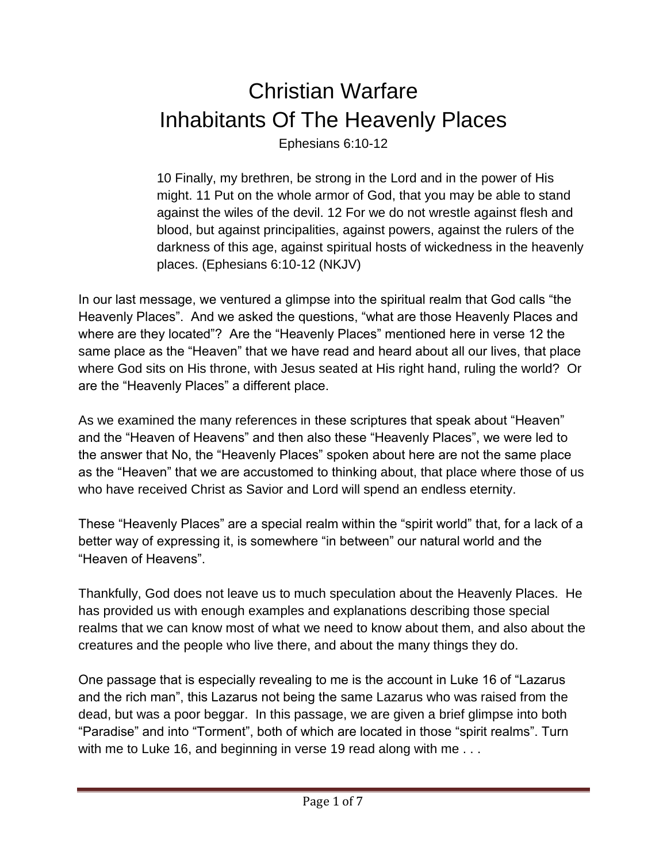## Christian Warfare Inhabitants Of The Heavenly Places

Ephesians 6:10-12

10 Finally, my brethren, be strong in the Lord and in the power of His might. 11 Put on the whole armor of God, that you may be able to stand against the wiles of the devil. 12 For we do not wrestle against flesh and blood, but against principalities, against powers, against the rulers of the darkness of this age, against spiritual hosts of wickedness in the heavenly places. (Ephesians 6:10-12 (NKJV)

In our last message, we ventured a glimpse into the spiritual realm that God calls "the Heavenly Places". And we asked the questions, "what are those Heavenly Places and where are they located"? Are the "Heavenly Places" mentioned here in verse 12 the same place as the "Heaven" that we have read and heard about all our lives, that place where God sits on His throne, with Jesus seated at His right hand, ruling the world? Or are the "Heavenly Places" a different place.

As we examined the many references in these scriptures that speak about "Heaven" and the "Heaven of Heavens" and then also these "Heavenly Places", we were led to the answer that No, the "Heavenly Places" spoken about here are not the same place as the "Heaven" that we are accustomed to thinking about, that place where those of us who have received Christ as Savior and Lord will spend an endless eternity.

These "Heavenly Places" are a special realm within the "spirit world" that, for a lack of a better way of expressing it, is somewhere "in between" our natural world and the "Heaven of Heavens".

Thankfully, God does not leave us to much speculation about the Heavenly Places. He has provided us with enough examples and explanations describing those special realms that we can know most of what we need to know about them, and also about the creatures and the people who live there, and about the many things they do.

One passage that is especially revealing to me is the account in Luke 16 of "Lazarus and the rich man", this Lazarus not being the same Lazarus who was raised from the dead, but was a poor beggar. In this passage, we are given a brief glimpse into both "Paradise" and into "Torment", both of which are located in those "spirit realms". Turn with me to Luke 16, and beginning in verse 19 read along with me . . .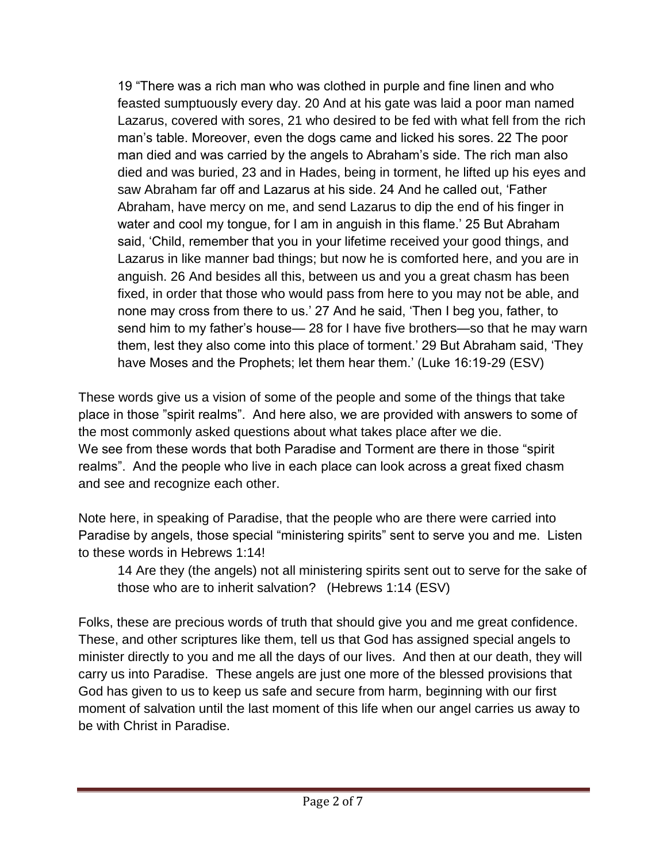19 "There was a rich man who was clothed in purple and fine linen and who feasted sumptuously every day. 20 And at his gate was laid a poor man named Lazarus, covered with sores, 21 who desired to be fed with what fell from the rich man's table. Moreover, even the dogs came and licked his sores. 22 The poor man died and was carried by the angels to Abraham's side. The rich man also died and was buried, 23 and in Hades, being in torment, he lifted up his eyes and saw Abraham far off and Lazarus at his side. 24 And he called out, 'Father Abraham, have mercy on me, and send Lazarus to dip the end of his finger in water and cool my tongue, for I am in anguish in this flame.' 25 But Abraham said, 'Child, remember that you in your lifetime received your good things, and Lazarus in like manner bad things; but now he is comforted here, and you are in anguish. 26 And besides all this, between us and you a great chasm has been fixed, in order that those who would pass from here to you may not be able, and none may cross from there to us.' 27 And he said, 'Then I beg you, father, to send him to my father's house— 28 for I have five brothers—so that he may warn them, lest they also come into this place of torment.' 29 But Abraham said, 'They have Moses and the Prophets; let them hear them.' (Luke 16:19-29 (ESV)

These words give us a vision of some of the people and some of the things that take place in those "spirit realms". And here also, we are provided with answers to some of the most commonly asked questions about what takes place after we die. We see from these words that both Paradise and Torment are there in those "spirit realms". And the people who live in each place can look across a great fixed chasm and see and recognize each other.

Note here, in speaking of Paradise, that the people who are there were carried into Paradise by angels, those special "ministering spirits" sent to serve you and me. Listen to these words in Hebrews 1:14!

14 Are they (the angels) not all ministering spirits sent out to serve for the sake of those who are to inherit salvation? (Hebrews 1:14 (ESV)

Folks, these are precious words of truth that should give you and me great confidence. These, and other scriptures like them, tell us that God has assigned special angels to minister directly to you and me all the days of our lives. And then at our death, they will carry us into Paradise. These angels are just one more of the blessed provisions that God has given to us to keep us safe and secure from harm, beginning with our first moment of salvation until the last moment of this life when our angel carries us away to be with Christ in Paradise.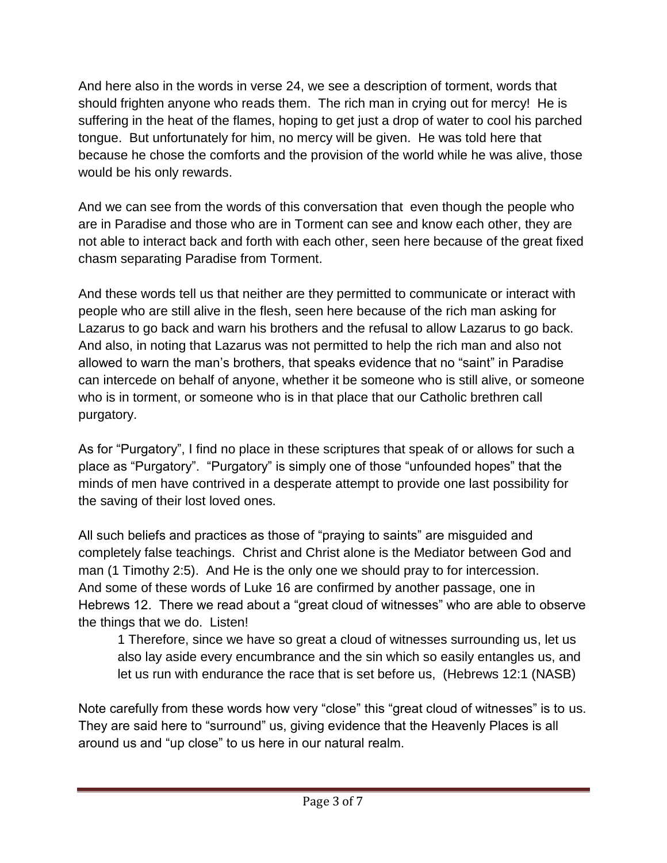And here also in the words in verse 24, we see a description of torment, words that should frighten anyone who reads them. The rich man in crying out for mercy! He is suffering in the heat of the flames, hoping to get just a drop of water to cool his parched tongue. But unfortunately for him, no mercy will be given. He was told here that because he chose the comforts and the provision of the world while he was alive, those would be his only rewards.

And we can see from the words of this conversation that even though the people who are in Paradise and those who are in Torment can see and know each other, they are not able to interact back and forth with each other, seen here because of the great fixed chasm separating Paradise from Torment.

And these words tell us that neither are they permitted to communicate or interact with people who are still alive in the flesh, seen here because of the rich man asking for Lazarus to go back and warn his brothers and the refusal to allow Lazarus to go back. And also, in noting that Lazarus was not permitted to help the rich man and also not allowed to warn the man's brothers, that speaks evidence that no "saint" in Paradise can intercede on behalf of anyone, whether it be someone who is still alive, or someone who is in torment, or someone who is in that place that our Catholic brethren call purgatory.

As for "Purgatory", I find no place in these scriptures that speak of or allows for such a place as "Purgatory". "Purgatory" is simply one of those "unfounded hopes" that the minds of men have contrived in a desperate attempt to provide one last possibility for the saving of their lost loved ones.

All such beliefs and practices as those of "praying to saints" are misguided and completely false teachings. Christ and Christ alone is the Mediator between God and man (1 Timothy 2:5). And He is the only one we should pray to for intercession. And some of these words of Luke 16 are confirmed by another passage, one in Hebrews 12. There we read about a "great cloud of witnesses" who are able to observe the things that we do. Listen!

1 Therefore, since we have so great a cloud of witnesses surrounding us, let us also lay aside every encumbrance and the sin which so easily entangles us, and let us run with endurance the race that is set before us, (Hebrews 12:1 (NASB)

Note carefully from these words how very "close" this "great cloud of witnesses" is to us. They are said here to "surround" us, giving evidence that the Heavenly Places is all around us and "up close" to us here in our natural realm.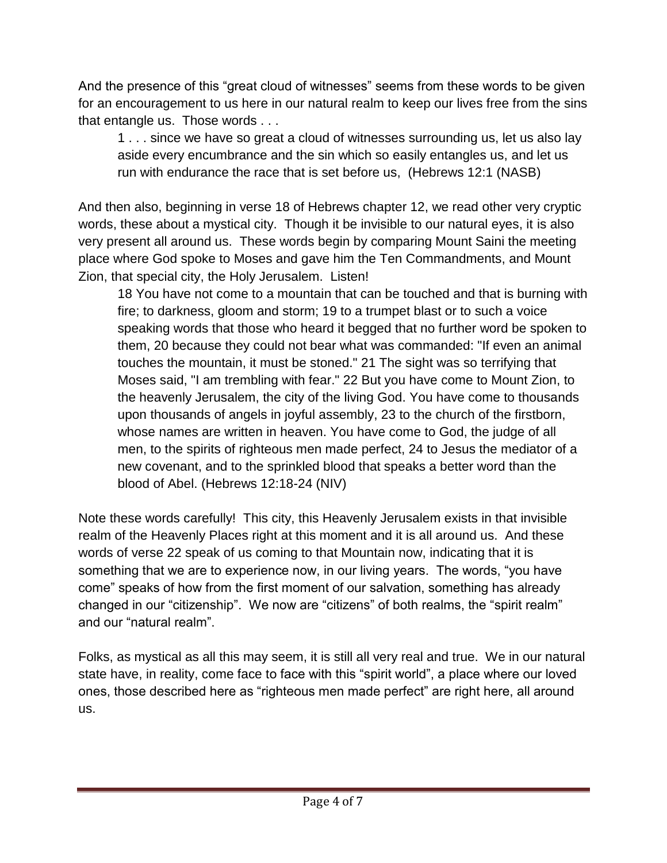And the presence of this "great cloud of witnesses" seems from these words to be given for an encouragement to us here in our natural realm to keep our lives free from the sins that entangle us. Those words . . .

1 . . . since we have so great a cloud of witnesses surrounding us, let us also lay aside every encumbrance and the sin which so easily entangles us, and let us run with endurance the race that is set before us, (Hebrews 12:1 (NASB)

And then also, beginning in verse 18 of Hebrews chapter 12, we read other very cryptic words, these about a mystical city. Though it be invisible to our natural eyes, it is also very present all around us. These words begin by comparing Mount Saini the meeting place where God spoke to Moses and gave him the Ten Commandments, and Mount Zion, that special city, the Holy Jerusalem. Listen!

18 You have not come to a mountain that can be touched and that is burning with fire; to darkness, gloom and storm; 19 to a trumpet blast or to such a voice speaking words that those who heard it begged that no further word be spoken to them, 20 because they could not bear what was commanded: "If even an animal touches the mountain, it must be stoned." 21 The sight was so terrifying that Moses said, "I am trembling with fear." 22 But you have come to Mount Zion, to the heavenly Jerusalem, the city of the living God. You have come to thousands upon thousands of angels in joyful assembly, 23 to the church of the firstborn, whose names are written in heaven. You have come to God, the judge of all men, to the spirits of righteous men made perfect, 24 to Jesus the mediator of a new covenant, and to the sprinkled blood that speaks a better word than the blood of Abel. (Hebrews 12:18-24 (NIV)

Note these words carefully! This city, this Heavenly Jerusalem exists in that invisible realm of the Heavenly Places right at this moment and it is all around us. And these words of verse 22 speak of us coming to that Mountain now, indicating that it is something that we are to experience now, in our living years. The words, "you have come" speaks of how from the first moment of our salvation, something has already changed in our "citizenship". We now are "citizens" of both realms, the "spirit realm" and our "natural realm".

Folks, as mystical as all this may seem, it is still all very real and true. We in our natural state have, in reality, come face to face with this "spirit world", a place where our loved ones, those described here as "righteous men made perfect" are right here, all around us.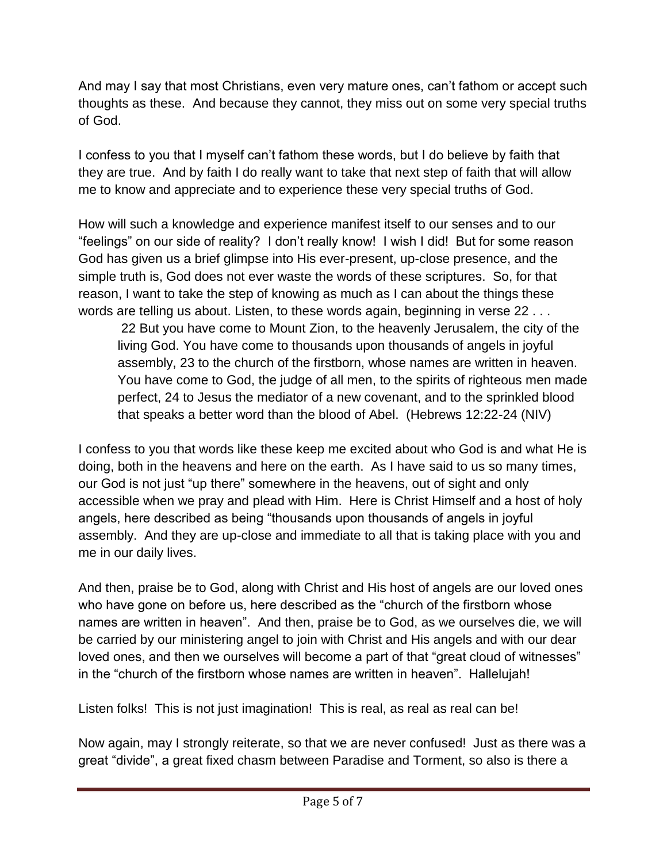And may I say that most Christians, even very mature ones, can't fathom or accept such thoughts as these. And because they cannot, they miss out on some very special truths of God.

I confess to you that I myself can't fathom these words, but I do believe by faith that they are true. And by faith I do really want to take that next step of faith that will allow me to know and appreciate and to experience these very special truths of God.

How will such a knowledge and experience manifest itself to our senses and to our "feelings" on our side of reality? I don't really know! I wish I did! But for some reason God has given us a brief glimpse into His ever-present, up-close presence, and the simple truth is, God does not ever waste the words of these scriptures. So, for that reason, I want to take the step of knowing as much as I can about the things these words are telling us about. Listen, to these words again, beginning in verse 22 . . .

22 But you have come to Mount Zion, to the heavenly Jerusalem, the city of the living God. You have come to thousands upon thousands of angels in joyful assembly, 23 to the church of the firstborn, whose names are written in heaven. You have come to God, the judge of all men, to the spirits of righteous men made perfect, 24 to Jesus the mediator of a new covenant, and to the sprinkled blood that speaks a better word than the blood of Abel. (Hebrews 12:22-24 (NIV)

I confess to you that words like these keep me excited about who God is and what He is doing, both in the heavens and here on the earth. As I have said to us so many times, our God is not just "up there" somewhere in the heavens, out of sight and only accessible when we pray and plead with Him. Here is Christ Himself and a host of holy angels, here described as being "thousands upon thousands of angels in joyful assembly. And they are up-close and immediate to all that is taking place with you and me in our daily lives.

And then, praise be to God, along with Christ and His host of angels are our loved ones who have gone on before us, here described as the "church of the firstborn whose names are written in heaven". And then, praise be to God, as we ourselves die, we will be carried by our ministering angel to join with Christ and His angels and with our dear loved ones, and then we ourselves will become a part of that "great cloud of witnesses" in the "church of the firstborn whose names are written in heaven". Hallelujah!

Listen folks! This is not just imagination! This is real, as real as real can be!

Now again, may I strongly reiterate, so that we are never confused! Just as there was a great "divide", a great fixed chasm between Paradise and Torment, so also is there a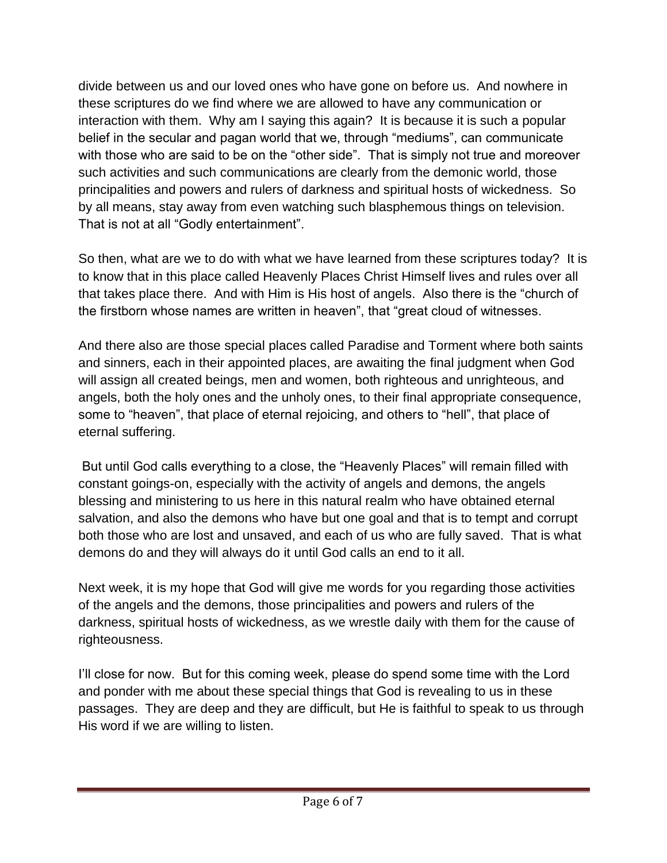divide between us and our loved ones who have gone on before us. And nowhere in these scriptures do we find where we are allowed to have any communication or interaction with them. Why am I saying this again? It is because it is such a popular belief in the secular and pagan world that we, through "mediums", can communicate with those who are said to be on the "other side". That is simply not true and moreover such activities and such communications are clearly from the demonic world, those principalities and powers and rulers of darkness and spiritual hosts of wickedness. So by all means, stay away from even watching such blasphemous things on television. That is not at all "Godly entertainment".

So then, what are we to do with what we have learned from these scriptures today? It is to know that in this place called Heavenly Places Christ Himself lives and rules over all that takes place there. And with Him is His host of angels. Also there is the "church of the firstborn whose names are written in heaven", that "great cloud of witnesses.

And there also are those special places called Paradise and Torment where both saints and sinners, each in their appointed places, are awaiting the final judgment when God will assign all created beings, men and women, both righteous and unrighteous, and angels, both the holy ones and the unholy ones, to their final appropriate consequence, some to "heaven", that place of eternal rejoicing, and others to "hell", that place of eternal suffering.

But until God calls everything to a close, the "Heavenly Places" will remain filled with constant goings-on, especially with the activity of angels and demons, the angels blessing and ministering to us here in this natural realm who have obtained eternal salvation, and also the demons who have but one goal and that is to tempt and corrupt both those who are lost and unsaved, and each of us who are fully saved. That is what demons do and they will always do it until God calls an end to it all.

Next week, it is my hope that God will give me words for you regarding those activities of the angels and the demons, those principalities and powers and rulers of the darkness, spiritual hosts of wickedness, as we wrestle daily with them for the cause of righteousness.

I'll close for now. But for this coming week, please do spend some time with the Lord and ponder with me about these special things that God is revealing to us in these passages. They are deep and they are difficult, but He is faithful to speak to us through His word if we are willing to listen.